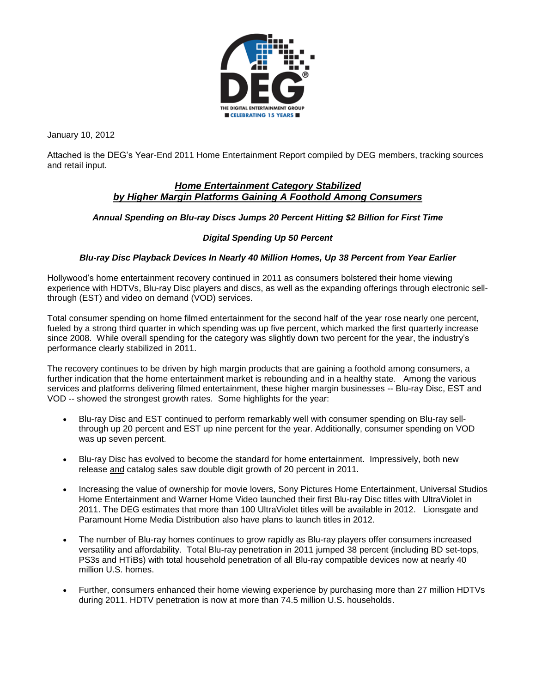

January 10, 2012

Attached is the DEG's Year-End 2011 Home Entertainment Report compiled by DEG members, tracking sources and retail input.

# *Home Entertainment Category Stabilized by Higher Margin Platforms Gaining A Foothold Among Consumers*

## *Annual Spending on Blu-ray Discs Jumps 20 Percent Hitting \$2 Billion for First Time*

## *Digital Spending Up 50 Percent*

## *Blu-ray Disc Playback Devices In Nearly 40 Million Homes, Up 38 Percent from Year Earlier*

Hollywood's home entertainment recovery continued in 2011 as consumers bolstered their home viewing experience with HDTVs, Blu-ray Disc players and discs, as well as the expanding offerings through electronic sellthrough (EST) and video on demand (VOD) services.

Total consumer spending on home filmed entertainment for the second half of the year rose nearly one percent, fueled by a strong third quarter in which spending was up five percent, which marked the first quarterly increase since 2008. While overall spending for the category was slightly down two percent for the year, the industry's performance clearly stabilized in 2011.

The recovery continues to be driven by high margin products that are gaining a foothold among consumers, a further indication that the home entertainment market is rebounding and in a healthy state. Among the various services and platforms delivering filmed entertainment, these higher margin businesses -- Blu-ray Disc, EST and VOD -- showed the strongest growth rates. Some highlights for the year:

- Blu-ray Disc and EST continued to perform remarkably well with consumer spending on Blu-ray sellthrough up 20 percent and EST up nine percent for the year. Additionally, consumer spending on VOD was up seven percent.
- Blu-ray Disc has evolved to become the standard for home entertainment. Impressively, both new release and catalog sales saw double digit growth of 20 percent in 2011.
- Increasing the value of ownership for movie lovers, Sony Pictures Home Entertainment, Universal Studios Home Entertainment and Warner Home Video launched their first Blu-ray Disc titles with UltraViolet in 2011. The DEG estimates that more than 100 UltraViolet titles will be available in 2012. Lionsgate and Paramount Home Media Distribution also have plans to launch titles in 2012.
- The number of Blu-ray homes continues to grow rapidly as Blu-ray players offer consumers increased versatility and affordability. Total Blu-ray penetration in 2011 jumped 38 percent (including BD set-tops, PS3s and HTiBs) with total household penetration of all Blu-ray compatible devices now at nearly 40 million U.S. homes.
- Further, consumers enhanced their home viewing experience by purchasing more than 27 million HDTVs during 2011. HDTV penetration is now at more than 74.5 million U.S. households.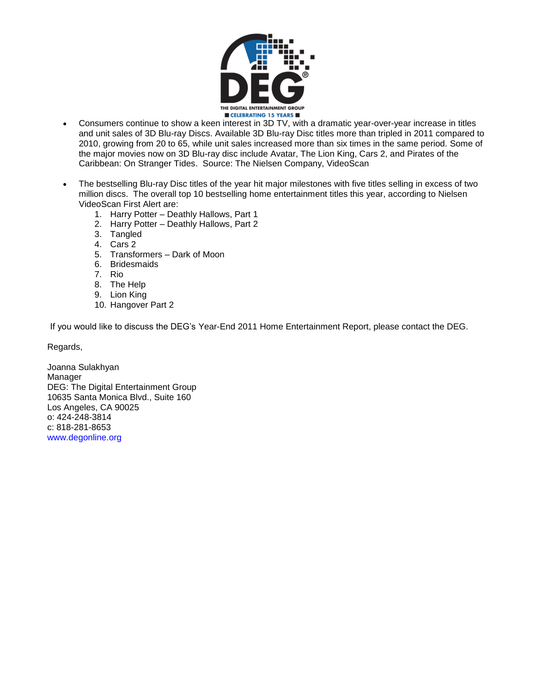

- Consumers continue to show a keen interest in 3D TV, with a dramatic year-over-year increase in titles and unit sales of 3D Blu-ray Discs. Available 3D Blu-ray Disc titles more than tripled in 2011 compared to 2010, growing from 20 to 65, while unit sales increased more than six times in the same period. Some of the major movies now on 3D Blu-ray disc include Avatar, The Lion King, Cars 2, and Pirates of the Caribbean: On Stranger Tides. Source: The Nielsen Company, VideoScan
- The bestselling Blu-ray Disc titles of the year hit major milestones with five titles selling in excess of two million discs. The overall top 10 bestselling home entertainment titles this year, according to Nielsen VideoScan First Alert are:
	- 1. Harry Potter Deathly Hallows, Part 1
	- 2. Harry Potter Deathly Hallows, Part 2
	- 3. Tangled
	- 4. Cars 2
	- 5. Transformers Dark of Moon
	- 6. Bridesmaids
	- 7. Rio
	- 8. The Help
	- 9. Lion King
	- 10. Hangover Part 2

If you would like to discuss the DEG's Year-End 2011 Home Entertainment Report, please contact the DEG.

Regards,

Joanna Sulakhyan Manager DEG: The Digital Entertainment Group 10635 Santa Monica Blvd., Suite 160 Los Angeles, CA 90025 o: 424-248-3814 c: 818-281-8653 www.degonline.org